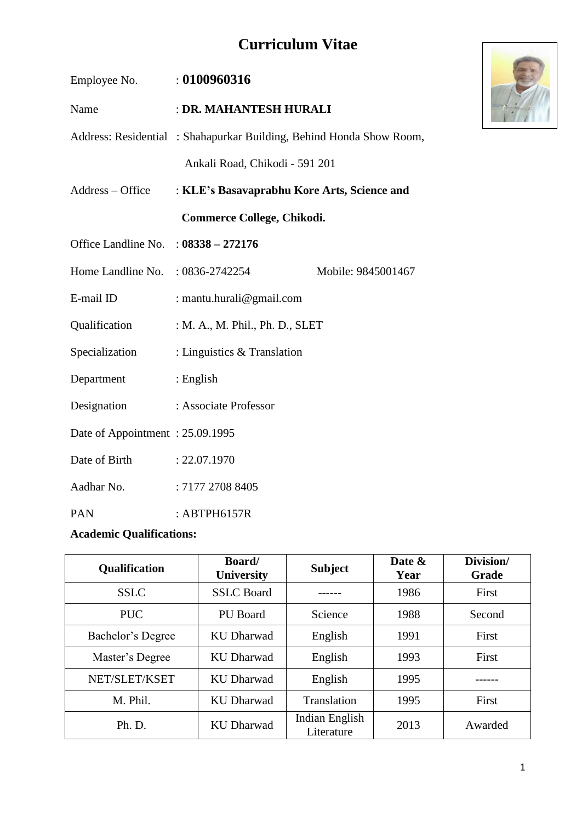# **Curriculum Vitae**

| Employee No. : 0100960316              |                                                                     |                    |
|----------------------------------------|---------------------------------------------------------------------|--------------------|
| Name                                   | : DR. MAHANTESH HURALI                                              |                    |
|                                        | Address: Residential: Shahapurkar Building, Behind Honda Show Room, |                    |
|                                        | Ankali Road, Chikodi - 591 201                                      |                    |
| Address – Office                       | : KLE's Basavaprabhu Kore Arts, Science and                         |                    |
|                                        | Commerce College, Chikodi.                                          |                    |
| Office Landline No. : $08338 - 272176$ |                                                                     |                    |
| Home Landline No. : 0836-2742254       |                                                                     | Mobile: 9845001467 |
| E-mail ID                              | : mantu.hurali@gmail.com                                            |                    |
| Qualification                          | : M. A., M. Phil., Ph. D., SLET                                     |                    |
| Specialization                         | : Linguistics $&$ Translation                                       |                    |
| Department                             | $:$ English                                                         |                    |
| Designation                            | : Associate Professor                                               |                    |
| Date of Appointment: 25.09.1995        |                                                                     |                    |
| Date of Birth : 22.07.1970             |                                                                     |                    |
| Aadhar No.                             | : 7177 2708 8405                                                    |                    |
| <b>PAN</b>                             | : ABTPH6157R                                                        |                    |

#### **Academic Qualifications:**

| Qualification     | Board/<br><b>University</b> | <b>Subject</b>               | Date &<br>Year | Division/<br><b>Grade</b> |
|-------------------|-----------------------------|------------------------------|----------------|---------------------------|
| <b>SSLC</b>       | <b>SSLC</b> Board           |                              | 1986           | First                     |
| <b>PUC</b>        | PU Board                    | Science                      | 1988           | Second                    |
| Bachelor's Degree | KU Dharwad                  | English                      | 1991           | First                     |
| Master's Degree   | <b>KU Dharwad</b>           | English                      | 1993           | First                     |
| NET/SLET/KSET     | <b>KU Dharwad</b>           | English                      | 1995           |                           |
| M. Phil.          | <b>KU Dharwad</b>           | Translation                  | 1995           | First                     |
| Ph. D.            | <b>KU Dharwad</b>           | Indian English<br>Literature | 2013           | Awarded                   |

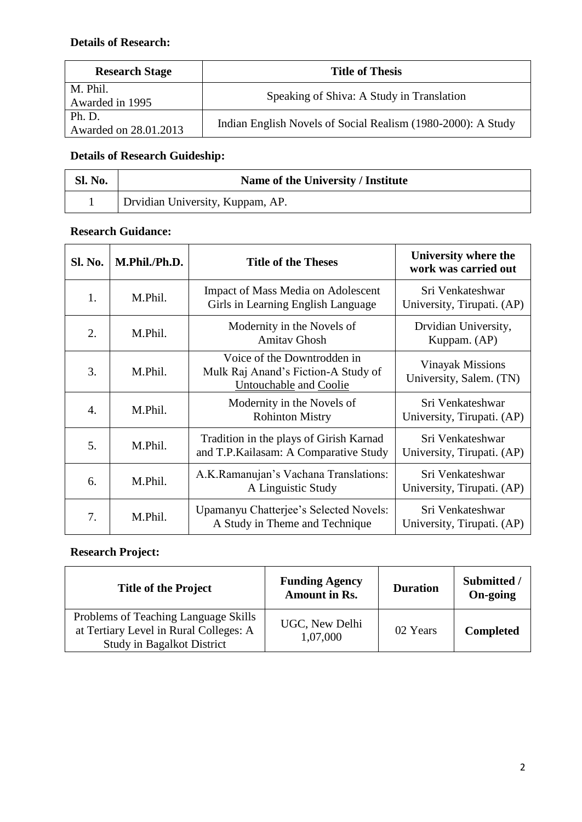| <b>Research Stage</b>           | <b>Title of Thesis</b>                                       |
|---------------------------------|--------------------------------------------------------------|
| M. Phil.<br>Awarded in 1995     | Speaking of Shiva: A Study in Translation                    |
| Ph. D.<br>Awarded on 28.01.2013 | Indian English Novels of Social Realism (1980-2000): A Study |

### **Details of Research Guideship:**

| Sl. No. | Name of the University / Institute |
|---------|------------------------------------|
|         | Drvidian University, Kuppam, AP.   |

#### **Research Guidance:**

| <b>Sl. No.</b>   | M.Phil./Ph.D. | <b>Title of the Theses</b>                                                                   | University where the<br>work was carried out       |
|------------------|---------------|----------------------------------------------------------------------------------------------|----------------------------------------------------|
| 1.               | M.Phil.       | <b>Impact of Mass Media on Adolescent</b><br>Girls in Learning English Language              | Sri Venkateshwar<br>University, Tirupati. (AP)     |
| 2.               | M.Phil.       | Modernity in the Novels of<br><b>Amitav Ghosh</b>                                            | Drvidian University,<br>Kuppam. (AP)               |
| 3.               | M.Phil.       | Voice of the Downtrodden in<br>Mulk Raj Anand's Fiction-A Study of<br>Untouchable and Coolie | <b>Vinayak Missions</b><br>University, Salem. (TN) |
| $\overline{4}$ . | M.Phil.       | Modernity in the Novels of<br><b>Rohinton Mistry</b>                                         | Sri Venkateshwar<br>University, Tirupati. (AP)     |
| 5.               | M.Phil.       | Tradition in the plays of Girish Karnad<br>and T.P.Kailasam: A Comparative Study             | Sri Venkateshwar<br>University, Tirupati. (AP)     |
| 6.               | M.Phil.       | A.K.Ramanujan's Vachana Translations:<br>A Linguistic Study                                  | Sri Venkateshwar<br>University, Tirupati. (AP)     |
| 7.               | M.Phil.       | Upamanyu Chatterjee's Selected Novels:<br>A Study in Theme and Technique                     | Sri Venkateshwar<br>University, Tirupati. (AP)     |

#### **Research Project:**

| <b>Title of the Project</b>                                                                                         | <b>Funding Agency</b><br><b>Amount in Rs.</b> | <b>Duration</b> | Submitted /<br>On-going |
|---------------------------------------------------------------------------------------------------------------------|-----------------------------------------------|-----------------|-------------------------|
| Problems of Teaching Language Skills<br>at Tertiary Level in Rural Colleges: A<br><b>Study in Bagalkot District</b> | UGC, New Delhi<br>1,07,000                    | 02 Years        | <b>Completed</b>        |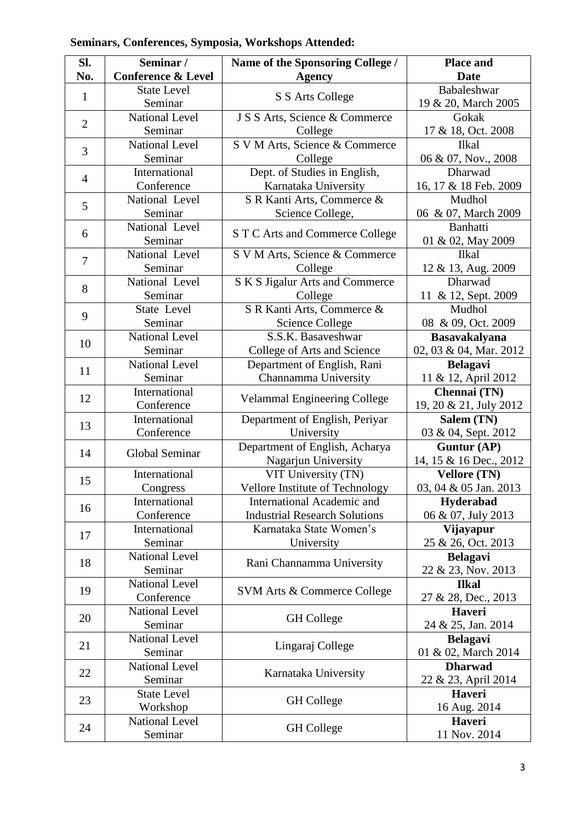| No.<br><b>Conference &amp; Level</b><br><b>Date</b><br><b>Agency</b><br>Babaleshwar<br><b>State Level</b><br>$\mathbf{1}$<br>S S Arts College<br>Seminar<br><b>National Level</b><br>J S S Arts, Science & Commerce<br>Gokak<br>$\overline{2}$<br>Seminar<br>College<br>S V M Arts, Science & Commerce<br><b>National Level</b><br>Ilkal<br>3<br>Seminar<br>College<br>Dept. of Studies in English,<br>International<br>Dharwad<br>$\overline{4}$<br>Conference<br>Karnataka University<br>National Level<br>S R Kanti Arts, Commerce &<br>Mudhol<br>5<br>Science College,<br>Seminar<br>National Level<br><b>Banhatti</b><br>6<br>S T C Arts and Commerce College<br>Seminar<br>National Level<br>S V M Arts, Science & Commerce<br><b>Ilkal</b><br>$\overline{7}$<br>Seminar<br>12 & 13, Aug. 2009<br>College<br>National Level<br>S K S Jigalur Arts and Commerce<br>Dharwad<br>8<br>Seminar<br>College<br>S R Kanti Arts, Commerce &<br>State Level<br>Mudhol<br>9<br>08 & 09, Oct. 2009<br><b>Science College</b><br>Seminar<br><b>National Level</b><br>S.S.K. Basaveshwar<br><b>Basavakalyana</b><br>10<br>Seminar<br>College of Arts and Science<br><b>National Level</b><br>Department of English, Rani<br><b>Belagavi</b><br>11<br>Seminar<br>Channamma University<br>11 & 12, April 2012<br>International<br>Chennai (TN)<br>12<br><b>Velammal Engineering College</b><br>Conference<br>19, 20 & 21, July 2012<br>International<br>Department of English, Periyar<br>Salem (TN)<br>13<br>Conference<br>University<br>03 & 04, Sept. 2012<br>Department of English, Acharya<br>Guntur (AP)<br><b>Global Seminar</b><br>14<br>Nagarjun University<br>14, 15 & 16 Dec., 2012<br>International<br>VIT University (TN)<br><b>Vellore (TN)</b><br>15<br>03, 04 & 05 Jan. 2013<br>Vellore Institute of Technology<br>Congress<br>International<br>International Academic and<br>Hyderabad<br>16<br>Conference<br><b>Industrial Research Solutions</b><br>06 & 07, July 2013<br>International<br>Karnataka State Women's<br>Vijayapur<br>17<br>25 & 26, Oct. 2013<br>Seminar<br>University<br><b>National Level</b><br><b>Belagavi</b> | SI. | Seminar / | Name of the Sponsoring College / | <b>Place and</b>       |
|-------------------------------------------------------------------------------------------------------------------------------------------------------------------------------------------------------------------------------------------------------------------------------------------------------------------------------------------------------------------------------------------------------------------------------------------------------------------------------------------------------------------------------------------------------------------------------------------------------------------------------------------------------------------------------------------------------------------------------------------------------------------------------------------------------------------------------------------------------------------------------------------------------------------------------------------------------------------------------------------------------------------------------------------------------------------------------------------------------------------------------------------------------------------------------------------------------------------------------------------------------------------------------------------------------------------------------------------------------------------------------------------------------------------------------------------------------------------------------------------------------------------------------------------------------------------------------------------------------------------------------------------------------------------------------------------------------------------------------------------------------------------------------------------------------------------------------------------------------------------------------------------------------------------------------------------------------------------------------------------------------------------------------------------------------------------------------------------------------------------------------------------|-----|-----------|----------------------------------|------------------------|
|                                                                                                                                                                                                                                                                                                                                                                                                                                                                                                                                                                                                                                                                                                                                                                                                                                                                                                                                                                                                                                                                                                                                                                                                                                                                                                                                                                                                                                                                                                                                                                                                                                                                                                                                                                                                                                                                                                                                                                                                                                                                                                                                           |     |           |                                  |                        |
|                                                                                                                                                                                                                                                                                                                                                                                                                                                                                                                                                                                                                                                                                                                                                                                                                                                                                                                                                                                                                                                                                                                                                                                                                                                                                                                                                                                                                                                                                                                                                                                                                                                                                                                                                                                                                                                                                                                                                                                                                                                                                                                                           |     |           |                                  |                        |
|                                                                                                                                                                                                                                                                                                                                                                                                                                                                                                                                                                                                                                                                                                                                                                                                                                                                                                                                                                                                                                                                                                                                                                                                                                                                                                                                                                                                                                                                                                                                                                                                                                                                                                                                                                                                                                                                                                                                                                                                                                                                                                                                           |     |           |                                  | 19 & 20, March 2005    |
|                                                                                                                                                                                                                                                                                                                                                                                                                                                                                                                                                                                                                                                                                                                                                                                                                                                                                                                                                                                                                                                                                                                                                                                                                                                                                                                                                                                                                                                                                                                                                                                                                                                                                                                                                                                                                                                                                                                                                                                                                                                                                                                                           |     |           |                                  |                        |
|                                                                                                                                                                                                                                                                                                                                                                                                                                                                                                                                                                                                                                                                                                                                                                                                                                                                                                                                                                                                                                                                                                                                                                                                                                                                                                                                                                                                                                                                                                                                                                                                                                                                                                                                                                                                                                                                                                                                                                                                                                                                                                                                           |     |           |                                  | 17 & 18, Oct. 2008     |
|                                                                                                                                                                                                                                                                                                                                                                                                                                                                                                                                                                                                                                                                                                                                                                                                                                                                                                                                                                                                                                                                                                                                                                                                                                                                                                                                                                                                                                                                                                                                                                                                                                                                                                                                                                                                                                                                                                                                                                                                                                                                                                                                           |     |           |                                  |                        |
|                                                                                                                                                                                                                                                                                                                                                                                                                                                                                                                                                                                                                                                                                                                                                                                                                                                                                                                                                                                                                                                                                                                                                                                                                                                                                                                                                                                                                                                                                                                                                                                                                                                                                                                                                                                                                                                                                                                                                                                                                                                                                                                                           |     |           |                                  | 06 & 07, Nov., 2008    |
|                                                                                                                                                                                                                                                                                                                                                                                                                                                                                                                                                                                                                                                                                                                                                                                                                                                                                                                                                                                                                                                                                                                                                                                                                                                                                                                                                                                                                                                                                                                                                                                                                                                                                                                                                                                                                                                                                                                                                                                                                                                                                                                                           |     |           |                                  |                        |
|                                                                                                                                                                                                                                                                                                                                                                                                                                                                                                                                                                                                                                                                                                                                                                                                                                                                                                                                                                                                                                                                                                                                                                                                                                                                                                                                                                                                                                                                                                                                                                                                                                                                                                                                                                                                                                                                                                                                                                                                                                                                                                                                           |     |           |                                  | 16, 17 & 18 Feb. 2009  |
|                                                                                                                                                                                                                                                                                                                                                                                                                                                                                                                                                                                                                                                                                                                                                                                                                                                                                                                                                                                                                                                                                                                                                                                                                                                                                                                                                                                                                                                                                                                                                                                                                                                                                                                                                                                                                                                                                                                                                                                                                                                                                                                                           |     |           |                                  |                        |
|                                                                                                                                                                                                                                                                                                                                                                                                                                                                                                                                                                                                                                                                                                                                                                                                                                                                                                                                                                                                                                                                                                                                                                                                                                                                                                                                                                                                                                                                                                                                                                                                                                                                                                                                                                                                                                                                                                                                                                                                                                                                                                                                           |     |           |                                  | 06 & 07, March 2009    |
|                                                                                                                                                                                                                                                                                                                                                                                                                                                                                                                                                                                                                                                                                                                                                                                                                                                                                                                                                                                                                                                                                                                                                                                                                                                                                                                                                                                                                                                                                                                                                                                                                                                                                                                                                                                                                                                                                                                                                                                                                                                                                                                                           |     |           |                                  |                        |
|                                                                                                                                                                                                                                                                                                                                                                                                                                                                                                                                                                                                                                                                                                                                                                                                                                                                                                                                                                                                                                                                                                                                                                                                                                                                                                                                                                                                                                                                                                                                                                                                                                                                                                                                                                                                                                                                                                                                                                                                                                                                                                                                           |     |           |                                  | 01 & 02, May 2009      |
|                                                                                                                                                                                                                                                                                                                                                                                                                                                                                                                                                                                                                                                                                                                                                                                                                                                                                                                                                                                                                                                                                                                                                                                                                                                                                                                                                                                                                                                                                                                                                                                                                                                                                                                                                                                                                                                                                                                                                                                                                                                                                                                                           |     |           |                                  |                        |
|                                                                                                                                                                                                                                                                                                                                                                                                                                                                                                                                                                                                                                                                                                                                                                                                                                                                                                                                                                                                                                                                                                                                                                                                                                                                                                                                                                                                                                                                                                                                                                                                                                                                                                                                                                                                                                                                                                                                                                                                                                                                                                                                           |     |           |                                  |                        |
|                                                                                                                                                                                                                                                                                                                                                                                                                                                                                                                                                                                                                                                                                                                                                                                                                                                                                                                                                                                                                                                                                                                                                                                                                                                                                                                                                                                                                                                                                                                                                                                                                                                                                                                                                                                                                                                                                                                                                                                                                                                                                                                                           |     |           |                                  |                        |
|                                                                                                                                                                                                                                                                                                                                                                                                                                                                                                                                                                                                                                                                                                                                                                                                                                                                                                                                                                                                                                                                                                                                                                                                                                                                                                                                                                                                                                                                                                                                                                                                                                                                                                                                                                                                                                                                                                                                                                                                                                                                                                                                           |     |           |                                  | 11 & 12, Sept. 2009    |
|                                                                                                                                                                                                                                                                                                                                                                                                                                                                                                                                                                                                                                                                                                                                                                                                                                                                                                                                                                                                                                                                                                                                                                                                                                                                                                                                                                                                                                                                                                                                                                                                                                                                                                                                                                                                                                                                                                                                                                                                                                                                                                                                           |     |           |                                  |                        |
|                                                                                                                                                                                                                                                                                                                                                                                                                                                                                                                                                                                                                                                                                                                                                                                                                                                                                                                                                                                                                                                                                                                                                                                                                                                                                                                                                                                                                                                                                                                                                                                                                                                                                                                                                                                                                                                                                                                                                                                                                                                                                                                                           |     |           |                                  |                        |
|                                                                                                                                                                                                                                                                                                                                                                                                                                                                                                                                                                                                                                                                                                                                                                                                                                                                                                                                                                                                                                                                                                                                                                                                                                                                                                                                                                                                                                                                                                                                                                                                                                                                                                                                                                                                                                                                                                                                                                                                                                                                                                                                           |     |           |                                  |                        |
|                                                                                                                                                                                                                                                                                                                                                                                                                                                                                                                                                                                                                                                                                                                                                                                                                                                                                                                                                                                                                                                                                                                                                                                                                                                                                                                                                                                                                                                                                                                                                                                                                                                                                                                                                                                                                                                                                                                                                                                                                                                                                                                                           |     |           |                                  | 02, 03 & 04, Mar. 2012 |
|                                                                                                                                                                                                                                                                                                                                                                                                                                                                                                                                                                                                                                                                                                                                                                                                                                                                                                                                                                                                                                                                                                                                                                                                                                                                                                                                                                                                                                                                                                                                                                                                                                                                                                                                                                                                                                                                                                                                                                                                                                                                                                                                           |     |           |                                  |                        |
|                                                                                                                                                                                                                                                                                                                                                                                                                                                                                                                                                                                                                                                                                                                                                                                                                                                                                                                                                                                                                                                                                                                                                                                                                                                                                                                                                                                                                                                                                                                                                                                                                                                                                                                                                                                                                                                                                                                                                                                                                                                                                                                                           |     |           |                                  |                        |
|                                                                                                                                                                                                                                                                                                                                                                                                                                                                                                                                                                                                                                                                                                                                                                                                                                                                                                                                                                                                                                                                                                                                                                                                                                                                                                                                                                                                                                                                                                                                                                                                                                                                                                                                                                                                                                                                                                                                                                                                                                                                                                                                           |     |           |                                  |                        |
|                                                                                                                                                                                                                                                                                                                                                                                                                                                                                                                                                                                                                                                                                                                                                                                                                                                                                                                                                                                                                                                                                                                                                                                                                                                                                                                                                                                                                                                                                                                                                                                                                                                                                                                                                                                                                                                                                                                                                                                                                                                                                                                                           |     |           |                                  |                        |
|                                                                                                                                                                                                                                                                                                                                                                                                                                                                                                                                                                                                                                                                                                                                                                                                                                                                                                                                                                                                                                                                                                                                                                                                                                                                                                                                                                                                                                                                                                                                                                                                                                                                                                                                                                                                                                                                                                                                                                                                                                                                                                                                           |     |           |                                  |                        |
|                                                                                                                                                                                                                                                                                                                                                                                                                                                                                                                                                                                                                                                                                                                                                                                                                                                                                                                                                                                                                                                                                                                                                                                                                                                                                                                                                                                                                                                                                                                                                                                                                                                                                                                                                                                                                                                                                                                                                                                                                                                                                                                                           |     |           |                                  |                        |
|                                                                                                                                                                                                                                                                                                                                                                                                                                                                                                                                                                                                                                                                                                                                                                                                                                                                                                                                                                                                                                                                                                                                                                                                                                                                                                                                                                                                                                                                                                                                                                                                                                                                                                                                                                                                                                                                                                                                                                                                                                                                                                                                           |     |           |                                  |                        |
|                                                                                                                                                                                                                                                                                                                                                                                                                                                                                                                                                                                                                                                                                                                                                                                                                                                                                                                                                                                                                                                                                                                                                                                                                                                                                                                                                                                                                                                                                                                                                                                                                                                                                                                                                                                                                                                                                                                                                                                                                                                                                                                                           |     |           |                                  |                        |
|                                                                                                                                                                                                                                                                                                                                                                                                                                                                                                                                                                                                                                                                                                                                                                                                                                                                                                                                                                                                                                                                                                                                                                                                                                                                                                                                                                                                                                                                                                                                                                                                                                                                                                                                                                                                                                                                                                                                                                                                                                                                                                                                           |     |           |                                  |                        |
|                                                                                                                                                                                                                                                                                                                                                                                                                                                                                                                                                                                                                                                                                                                                                                                                                                                                                                                                                                                                                                                                                                                                                                                                                                                                                                                                                                                                                                                                                                                                                                                                                                                                                                                                                                                                                                                                                                                                                                                                                                                                                                                                           |     |           |                                  |                        |
|                                                                                                                                                                                                                                                                                                                                                                                                                                                                                                                                                                                                                                                                                                                                                                                                                                                                                                                                                                                                                                                                                                                                                                                                                                                                                                                                                                                                                                                                                                                                                                                                                                                                                                                                                                                                                                                                                                                                                                                                                                                                                                                                           |     |           |                                  |                        |
|                                                                                                                                                                                                                                                                                                                                                                                                                                                                                                                                                                                                                                                                                                                                                                                                                                                                                                                                                                                                                                                                                                                                                                                                                                                                                                                                                                                                                                                                                                                                                                                                                                                                                                                                                                                                                                                                                                                                                                                                                                                                                                                                           |     |           |                                  |                        |
|                                                                                                                                                                                                                                                                                                                                                                                                                                                                                                                                                                                                                                                                                                                                                                                                                                                                                                                                                                                                                                                                                                                                                                                                                                                                                                                                                                                                                                                                                                                                                                                                                                                                                                                                                                                                                                                                                                                                                                                                                                                                                                                                           |     |           |                                  |                        |
|                                                                                                                                                                                                                                                                                                                                                                                                                                                                                                                                                                                                                                                                                                                                                                                                                                                                                                                                                                                                                                                                                                                                                                                                                                                                                                                                                                                                                                                                                                                                                                                                                                                                                                                                                                                                                                                                                                                                                                                                                                                                                                                                           |     |           |                                  |                        |
|                                                                                                                                                                                                                                                                                                                                                                                                                                                                                                                                                                                                                                                                                                                                                                                                                                                                                                                                                                                                                                                                                                                                                                                                                                                                                                                                                                                                                                                                                                                                                                                                                                                                                                                                                                                                                                                                                                                                                                                                                                                                                                                                           | 18  | Seminar   | Rani Channamma University        | 22 & 23, Nov. 2013     |
| <b>National Level</b><br><b>Ilkal</b>                                                                                                                                                                                                                                                                                                                                                                                                                                                                                                                                                                                                                                                                                                                                                                                                                                                                                                                                                                                                                                                                                                                                                                                                                                                                                                                                                                                                                                                                                                                                                                                                                                                                                                                                                                                                                                                                                                                                                                                                                                                                                                     |     |           |                                  |                        |
| 19<br>SVM Arts & Commerce College<br>Conference                                                                                                                                                                                                                                                                                                                                                                                                                                                                                                                                                                                                                                                                                                                                                                                                                                                                                                                                                                                                                                                                                                                                                                                                                                                                                                                                                                                                                                                                                                                                                                                                                                                                                                                                                                                                                                                                                                                                                                                                                                                                                           |     |           |                                  | 27 & 28, Dec., 2013    |
| <b>National Level</b><br>Haveri                                                                                                                                                                                                                                                                                                                                                                                                                                                                                                                                                                                                                                                                                                                                                                                                                                                                                                                                                                                                                                                                                                                                                                                                                                                                                                                                                                                                                                                                                                                                                                                                                                                                                                                                                                                                                                                                                                                                                                                                                                                                                                           |     |           |                                  |                        |
| 20<br><b>GH</b> College<br>Seminar                                                                                                                                                                                                                                                                                                                                                                                                                                                                                                                                                                                                                                                                                                                                                                                                                                                                                                                                                                                                                                                                                                                                                                                                                                                                                                                                                                                                                                                                                                                                                                                                                                                                                                                                                                                                                                                                                                                                                                                                                                                                                                        |     |           |                                  | 24 & 25, Jan. 2014     |
| <b>National Level</b><br><b>Belagavi</b>                                                                                                                                                                                                                                                                                                                                                                                                                                                                                                                                                                                                                                                                                                                                                                                                                                                                                                                                                                                                                                                                                                                                                                                                                                                                                                                                                                                                                                                                                                                                                                                                                                                                                                                                                                                                                                                                                                                                                                                                                                                                                                  |     |           |                                  |                        |
| 21<br>Lingaraj College<br>Seminar                                                                                                                                                                                                                                                                                                                                                                                                                                                                                                                                                                                                                                                                                                                                                                                                                                                                                                                                                                                                                                                                                                                                                                                                                                                                                                                                                                                                                                                                                                                                                                                                                                                                                                                                                                                                                                                                                                                                                                                                                                                                                                         |     |           |                                  | 01 & 02, March 2014    |
| <b>National Level</b><br><b>Dharwad</b>                                                                                                                                                                                                                                                                                                                                                                                                                                                                                                                                                                                                                                                                                                                                                                                                                                                                                                                                                                                                                                                                                                                                                                                                                                                                                                                                                                                                                                                                                                                                                                                                                                                                                                                                                                                                                                                                                                                                                                                                                                                                                                   |     |           |                                  |                        |
| 22<br>Karnataka University<br>Seminar                                                                                                                                                                                                                                                                                                                                                                                                                                                                                                                                                                                                                                                                                                                                                                                                                                                                                                                                                                                                                                                                                                                                                                                                                                                                                                                                                                                                                                                                                                                                                                                                                                                                                                                                                                                                                                                                                                                                                                                                                                                                                                     |     |           |                                  | 22 & 23, April 2014    |
| <b>State Level</b><br>Haveri                                                                                                                                                                                                                                                                                                                                                                                                                                                                                                                                                                                                                                                                                                                                                                                                                                                                                                                                                                                                                                                                                                                                                                                                                                                                                                                                                                                                                                                                                                                                                                                                                                                                                                                                                                                                                                                                                                                                                                                                                                                                                                              |     |           |                                  |                        |
| 23<br><b>GH</b> College<br>16 Aug. 2014<br>Workshop                                                                                                                                                                                                                                                                                                                                                                                                                                                                                                                                                                                                                                                                                                                                                                                                                                                                                                                                                                                                                                                                                                                                                                                                                                                                                                                                                                                                                                                                                                                                                                                                                                                                                                                                                                                                                                                                                                                                                                                                                                                                                       |     |           |                                  |                        |
| <b>National Level</b><br>Haveri                                                                                                                                                                                                                                                                                                                                                                                                                                                                                                                                                                                                                                                                                                                                                                                                                                                                                                                                                                                                                                                                                                                                                                                                                                                                                                                                                                                                                                                                                                                                                                                                                                                                                                                                                                                                                                                                                                                                                                                                                                                                                                           |     |           |                                  |                        |
| 24<br><b>GH</b> College<br>11 Nov. 2014<br>Seminar                                                                                                                                                                                                                                                                                                                                                                                                                                                                                                                                                                                                                                                                                                                                                                                                                                                                                                                                                                                                                                                                                                                                                                                                                                                                                                                                                                                                                                                                                                                                                                                                                                                                                                                                                                                                                                                                                                                                                                                                                                                                                        |     |           |                                  |                        |

### **Seminars, Conferences, Symposia, Workshops Attended:**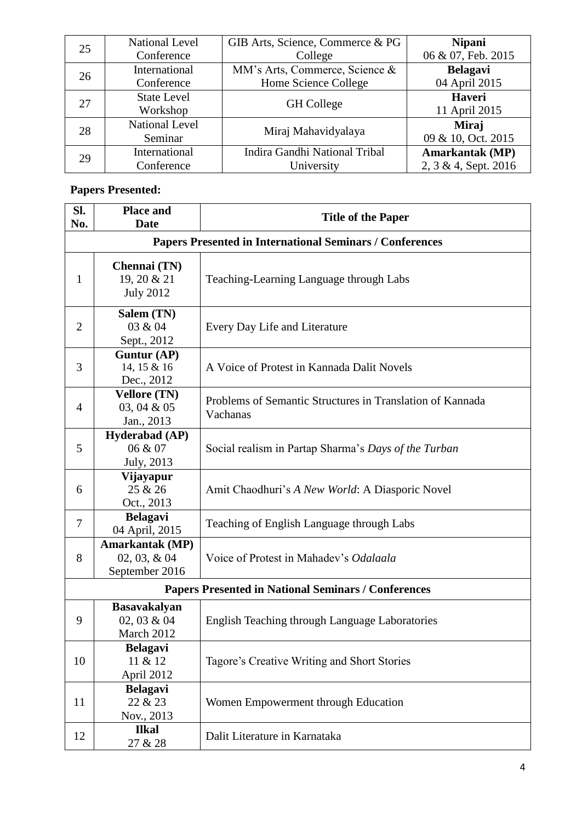| 25 | <b>National Level</b> | GIB Arts, Science, Commerce & PG | <b>Nipani</b>          |
|----|-----------------------|----------------------------------|------------------------|
|    | Conference            | College                          | 06 & 07, Feb. 2015     |
| 26 | International         | MM's Arts, Commerce, Science &   | <b>Belagavi</b>        |
|    | Conference            | Home Science College             | 04 April 2015          |
| 27 | <b>State Level</b>    | <b>GH</b> College                | <b>Haveri</b>          |
|    | Workshop              |                                  | 11 April 2015          |
| 28 | <b>National Level</b> | Miraj Mahavidyalaya              | Miraj                  |
|    | Seminar               |                                  | 09 & 10, Oct. 2015     |
| 29 | International         | Indira Gandhi National Tribal    | <b>Amarkantak (MP)</b> |
|    | Conference            | University                       | 2, 3 & 4, Sept. 2016   |

## **Papers Presented:**

| SI.<br>No.                                                 | <b>Place and</b><br><b>Date</b>                                 | <b>Title of the Paper</b>                                             |  |  |
|------------------------------------------------------------|-----------------------------------------------------------------|-----------------------------------------------------------------------|--|--|
|                                                            | <b>Papers Presented in International Seminars / Conferences</b> |                                                                       |  |  |
| 1                                                          | Chennai (TN)<br>19, 20 & 21<br><b>July 2012</b>                 | Teaching-Learning Language through Labs                               |  |  |
| $\overline{2}$                                             | Salem (TN)<br>03 & 04<br>Sept., 2012                            | Every Day Life and Literature                                         |  |  |
| 3                                                          | Guntur (AP)<br>14, 15 & 16<br>Dec., 2012                        | A Voice of Protest in Kannada Dalit Novels                            |  |  |
| $\overline{4}$                                             | <b>Vellore (TN)</b><br>03, 04 & 05<br>Jan., 2013                | Problems of Semantic Structures in Translation of Kannada<br>Vachanas |  |  |
| 5                                                          | <b>Hyderabad</b> (AP)<br>06 & 07<br>July, 2013                  | Social realism in Partap Sharma's Days of the Turban                  |  |  |
| 6                                                          | Vijayapur<br>25 & 26<br>Oct., 2013                              | Amit Chaodhuri's A New World: A Diasporic Novel                       |  |  |
| $\tau$                                                     | <b>Belagavi</b><br>04 April, 2015                               | Teaching of English Language through Labs                             |  |  |
| 8                                                          | Amarkantak (MP)<br>$02, 03, \& 04$<br>September 2016            | Voice of Protest in Mahadev's Odalaala                                |  |  |
| <b>Papers Presented in National Seminars / Conferences</b> |                                                                 |                                                                       |  |  |
| 9                                                          | <b>Basavakalyan</b><br>02, 03 & 04<br>March 2012                | English Teaching through Language Laboratories                        |  |  |
| 10                                                         | <b>Belagavi</b><br>11 & 12<br>April 2012                        | Tagore's Creative Writing and Short Stories                           |  |  |
| 11                                                         | <b>Belagavi</b><br>22 & 23<br>Nov., 2013                        | Women Empowerment through Education                                   |  |  |
| 12                                                         | <b>Ilkal</b><br>27 & 28                                         | Dalit Literature in Karnataka                                         |  |  |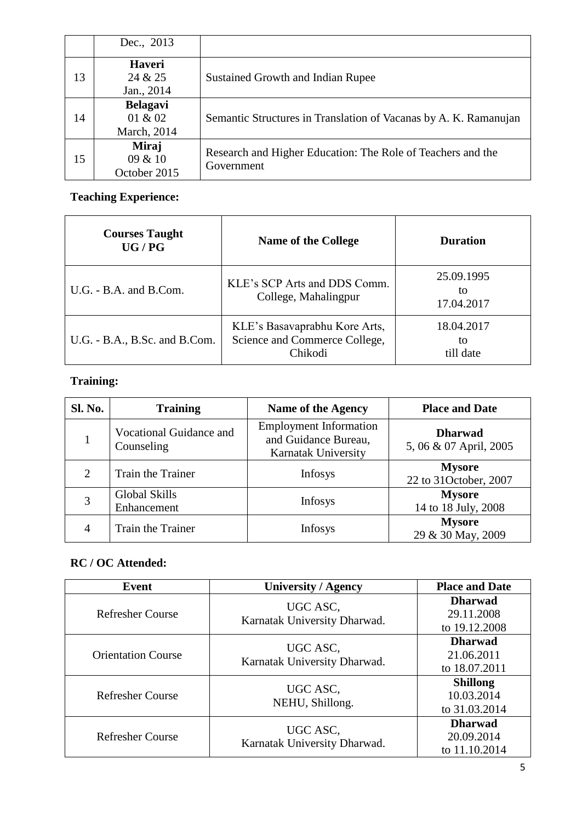|    | Dec., 2013                                |                                                                           |
|----|-------------------------------------------|---------------------------------------------------------------------------|
| 13 | <b>Haveri</b><br>24 & 25<br>Jan., 2014    | Sustained Growth and Indian Rupee                                         |
| 14 | <b>Belagavi</b><br>01 & 02<br>March, 2014 | Semantic Structures in Translation of Vacanas by A. K. Ramanujan          |
| 15 | Miraj<br>09 & 10<br>October 2015          | Research and Higher Education: The Role of Teachers and the<br>Government |

#### **Teaching Experience:**

| <b>Courses Taught</b><br>UG/PG | <b>Name of the College</b>                                                | <b>Duration</b>                |
|--------------------------------|---------------------------------------------------------------------------|--------------------------------|
| $U.G. - B.A.$ and $B.Com.$     | KLE's SCP Arts and DDS Comm.<br>College, Mahalingpur                      | 25.09.1995<br>tο<br>17.04.2017 |
| U.G. - B.A., B.Sc. and B.Com.  | KLE's Basavaprabhu Kore Arts,<br>Science and Commerce College,<br>Chikodi | 18.04.2017<br>to<br>till date  |

### **Training:**

| <b>Sl. No.</b> | <b>Training</b>                       | Name of the Agency                                                           | <b>Place and Date</b>                    |
|----------------|---------------------------------------|------------------------------------------------------------------------------|------------------------------------------|
|                | Vocational Guidance and<br>Counseling | <b>Employment Information</b><br>and Guidance Bureau,<br>Karnatak University | <b>Dharwad</b><br>5, 06 & 07 April, 2005 |
| 2              | Train the Trainer                     | <b>Infosys</b>                                                               | <b>Mysore</b><br>22 to 31October, 2007   |
| 3              | Global Skills<br>Enhancement          | <b>Infosys</b>                                                               | <b>Mysore</b><br>14 to 18 July, 2008     |
| 4              | Train the Trainer                     | <b>Infosys</b>                                                               | <b>Mysore</b><br>29 & 30 May, 2009       |

### **RC / OC Attended:**

| <b>Event</b>              | <b>University / Agency</b>               | <b>Place and Date</b>                          |
|---------------------------|------------------------------------------|------------------------------------------------|
| <b>Refresher Course</b>   | UGC ASC,<br>Karnatak University Dharwad. | <b>Dharwad</b><br>29.11.2008<br>to 19.12.2008  |
| <b>Orientation Course</b> | UGC ASC,<br>Karnatak University Dharwad. | <b>Dharwad</b><br>21.06.2011<br>to 18.07.2011  |
| <b>Refresher Course</b>   | UGC ASC,<br>NEHU, Shillong.              | <b>Shillong</b><br>10.03.2014<br>to 31.03.2014 |
| <b>Refresher Course</b>   | UGC ASC,<br>Karnatak University Dharwad. | <b>Dharwad</b><br>20.09.2014<br>to 11.10.2014  |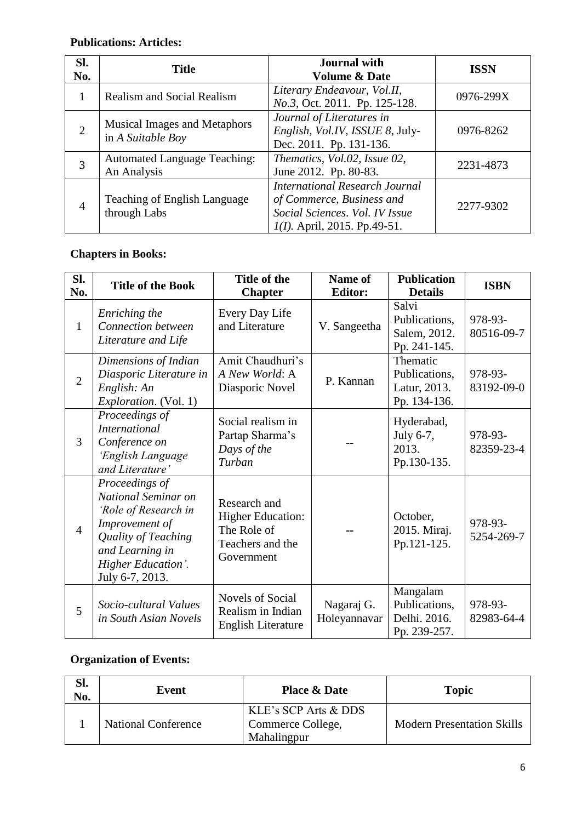## **Publications: Articles:**

| SI.<br>No.     | <b>Title</b>                                             | <b>Journal</b> with<br><b>Volume &amp; Date</b>                                                                                  | <b>ISSN</b> |
|----------------|----------------------------------------------------------|----------------------------------------------------------------------------------------------------------------------------------|-------------|
| 1              | <b>Realism and Social Realism</b>                        | Literary Endeavour, Vol.II,<br>No.3, Oct. 2011. Pp. 125-128.                                                                     | 0976-299X   |
| $\overline{2}$ | <b>Musical Images and Metaphors</b><br>in A Suitable Boy | Journal of Literatures in<br>English, Vol.IV, ISSUE 8, July-<br>Dec. 2011. Pp. 131-136.                                          | 0976-8262   |
| 3              | <b>Automated Language Teaching:</b><br>An Analysis       | Thematics, Vol.02, Issue 02,<br>June 2012. Pp. 80-83.                                                                            | 2231-4873   |
| $\overline{4}$ | Teaching of English Language<br>through Labs             | International Research Journal<br>of Commerce, Business and<br>Social Sciences. Vol. IV Issue<br>$I(I)$ . April, 2015. Pp.49-51. | 2277-9302   |

### **Chapters in Books:**

| Sl.<br>No.     | <b>Title of the Book</b>                                                                                                                                           | Title of the<br><b>Chapter</b>                                                            | Name of<br><b>Editor:</b>  | <b>Publication</b><br><b>Details</b>                      | <b>ISBN</b>           |
|----------------|--------------------------------------------------------------------------------------------------------------------------------------------------------------------|-------------------------------------------------------------------------------------------|----------------------------|-----------------------------------------------------------|-----------------------|
| $\mathbf{1}$   | Enriching the<br>Connection between<br>Literature and Life                                                                                                         | Every Day Life<br>and Literature                                                          | V. Sangeetha               | Salvi<br>Publications,<br>Salem, 2012.<br>Pp. 241-145.    | 978-93-<br>80516-09-7 |
| $\overline{2}$ | Dimensions of Indian<br>Diasporic Literature in<br>English: An<br><i>Exploration.</i> (Vol. 1)                                                                     | Amit Chaudhuri's<br>A New World: A<br>Diasporic Novel                                     | P. Kannan                  | Thematic<br>Publications,<br>Latur, 2013.<br>Pp. 134-136. | 978-93-<br>83192-09-0 |
| $\overline{3}$ | Proceedings of<br><b>International</b><br>Conference on<br>'English Language<br>and Literature'                                                                    | Social realism in<br>Partap Sharma's<br>Days of the<br>Turban                             |                            | Hyderabad,<br>July 6-7,<br>2013.<br>Pp.130-135.           | 978-93-<br>82359-23-4 |
| $\overline{4}$ | Proceedings of<br>National Seminar on<br>'Role of Research in<br>Improvement of<br>Quality of Teaching<br>and Learning in<br>Higher Education'.<br>July 6-7, 2013. | Research and<br><b>Higher Education:</b><br>The Role of<br>Teachers and the<br>Government |                            | October,<br>2015. Miraj.<br>Pp.121-125.                   | 978-93-<br>5254-269-7 |
| 5              | Socio-cultural Values<br>in South Asian Novels                                                                                                                     | Novels of Social<br>Realism in Indian<br><b>English Literature</b>                        | Nagaraj G.<br>Holeyannavar | Mangalam<br>Publications,<br>Delhi. 2016.<br>Pp. 239-257. | 978-93-<br>82983-64-4 |

### **Organization of Events:**

| Sl.<br>No. | Event                      | <b>Place &amp; Date</b>                                  | <b>Topic</b>                      |
|------------|----------------------------|----------------------------------------------------------|-----------------------------------|
|            | <b>National Conference</b> | KLE's SCP Arts & DDS<br>Commerce College,<br>Mahalingpur | <b>Modern Presentation Skills</b> |